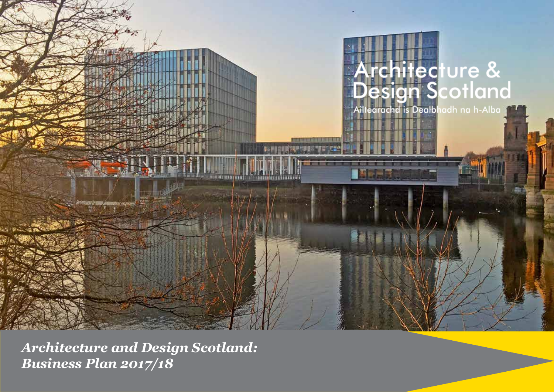

*Business Plan 2017 – 18 Architecture and Design Scotland: Business Plan 2017/18*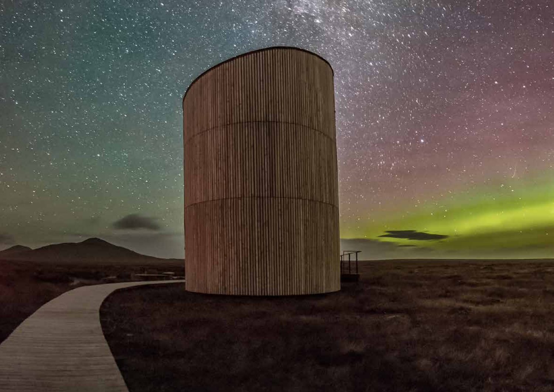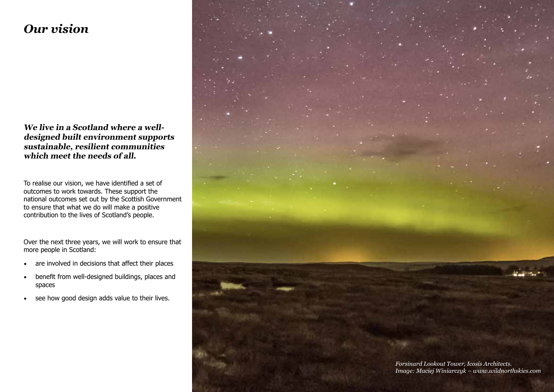# *Our vision*

**We live in a Scotland where a welldesigned built environment supports sustainable, resilient communities which meet the needs of all.** 

To realise our vision, we have identified a set of outcomes to work towards. These support the national outcomes set out by the Scottish Government to ensure that what we do will make a positive contribution to the lives of Scotland's people.

Over the next three years, we will work to ensure that more people in Scotland:

- are involved in decisions that affect their places
- benefit from well-designed buildings, places and spaces
- see how good design adds value to their lives.

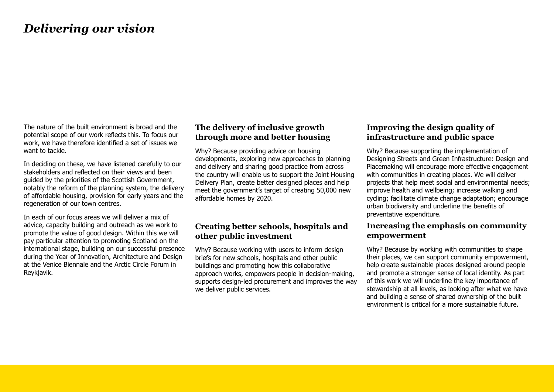# *Delivering our vision*

The nature of the built environment is broad and the potential scope of our work reflects this. To focus our work, we have therefore identified a set of issues we want to tackle.

In deciding on these, we have listened carefully to our stakeholders and reflected on their views and been guided by the priorities of the Scottish Government, notably the reform of the planning system, the delivery of affordable housing, provision for early years and the regeneration of our town centres.

In each of our focus areas we will deliver a mix of advice, capacity building and outreach as we work to promote the value of good design. Within this we will pay particular attention to promoting Scotland on the international stage, building on our successful presence during the Year of Innovation, Architecture and Design at the Venice Biennale and the Arctic Circle Forum in Reykjavik.

#### **The delivery of inclusive growth through more and better housing**

Why? Because providing advice on housing developments, exploring new approaches to planning and delivery and sharing good practice from across the country will enable us to support the Joint Housing Delivery Plan, create better designed places and help meet the government's target of creating 50,000 new affordable homes by 2020.

#### **Creating better schools, hospitals and other public investment**

Why? Because working with users to inform design briefs for new schools, hospitals and other public buildings and promoting how this collaborative approach works, empowers people in decision-making, supports design-led procurement and improves the way we deliver public services.

#### **Improving the design quality of infrastructure and public space**

Why? Because supporting the implementation of [Designing Streets](https://beta.gov.scot/publications/designing-streets-policy-statement-scotland/) and [Green Infrastructure: Design and](https://beta.gov.scot/publications/green-infrastructure-design-placemaking/)  [Placemaking](https://beta.gov.scot/publications/green-infrastructure-design-placemaking/) will encourage more effective engagement with communities in creating places. We will deliver projects that help meet social and environmental needs; improve health and wellbeing; increase walking and cycling; facilitate climate change adaptation; encourage urban biodiversity and underline the benefits of preventative expenditure.

#### **Increasing the emphasis on community empowerment**

Why? Because by working with communities to shape their places, we can support community empowerment, help create sustainable places designed around people and promote a stronger sense of local identity. As part of this work we will underline the key importance of stewardship at all levels, as looking after what we have and building a sense of shared ownership of the built environment is critical for a more sustainable future.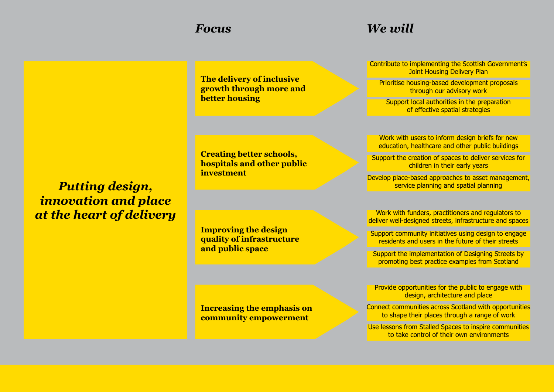### *Focus We will*

**The delivery of inclusive growth through more and better housing**

**Creating better schools, hospitals and other public** 

**Improving the design quality of infrastructure** 

**and public space**

**investment**

Contribute to implementing the Scottish Government's Joint Housing Delivery Plan

Prioritise housing-based development proposals through our advisory work

Support local authorities in the preparation of effective spatial strategies

Work with users to inform design briefs for new education, healthcare and other public buildings

Support the creation of spaces to deliver services for children in their early years

Develop place-based approaches to asset management, service planning and spatial planning

Work with funders, practitioners and regulators to deliver well-designed streets, infrastructure and spaces

Support community initiatives using design to engage residents and users in the future of their streets

Support the implementation of Designing Streets by promoting best practice examples from Scotland

Provide opportunities for the public to engage with design, architecture and place

Connect communities across Scotland with opportunities to shape their places through a range of work

Use lessons from Stalled Spaces to inspire communities to take control of their own environments

*Putting design, innovation and place at the heart of delivery*

> **Increasing the emphasis on community empowerment**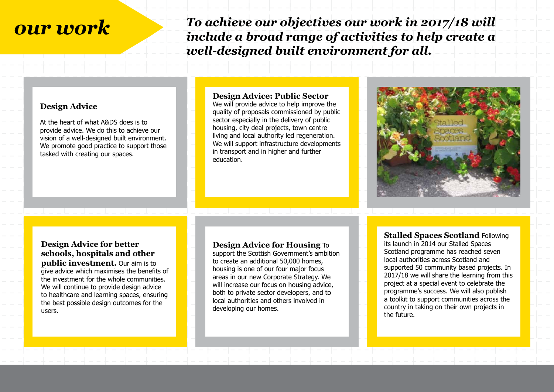# *our work*

*To achieve our objectives our work in 2017/18 will include a broad range of activities to help create a well-designed built environment for all.*

#### **Design Advice**

At the heart of what A&DS does is to provide advice. We do this to achieve our vision of a well-designed built environment. We promote good practice to support those tasked with creating our spaces.

#### **Design Advice: Public Sector**

We will provide advice to help improve the quality of proposals commissioned by public sector especially in the delivery of public housing, city deal projects, town centre living and local authority led regeneration. We will support infrastructure developments in transport and in higher and further education.



**Design Advice for better schools, hospitals and other public investment.** Our aim is to give advice which maximises the benefits of the investment for the whole communities. We will continue to provide design advice to healthcare and learning spaces, ensuring the best possible design outcomes for the users.

#### **Design Advice for Housing** To

support the Scottish Government's ambition to create an additional 50,000 homes, housing is one of our four major focus areas in our new [Corporate Strategy](http://www.ads.org.uk/corp_strategy_17_20/). We will increase our focus on housing advice, both to private sector developers, and to local authorities and others involved in developing our homes.

**Stalled Spaces Scotland** Following its launch in 2014 our Stalled Spaces Scotland programme has reached seven local authorities across Scotland and supported 50 community based projects. In 2017/18 we will share the learning from this project at a special event to celebrate the programme's success. We will also publish a toolkit to support communities across the country in taking on their own projects in the future.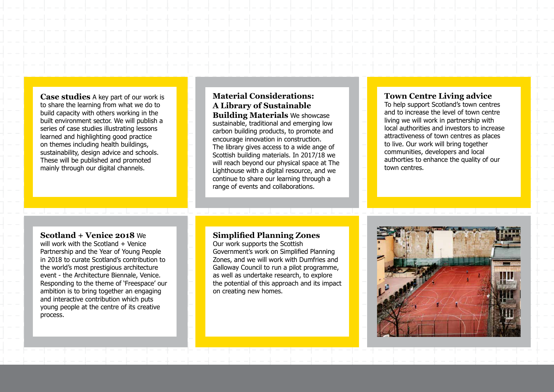**Case studies** A key part of our work is to share the learning from what we do to build capacity with others working in the built environment sector. We will publish a series of case studies illustrating lessons learned and highlighting good practice on themes including health buildings, sustainability, design advice and schools. These will be published and promoted mainly through our digital channels.

#### **Material Considerations: A Library of Sustainable Building Materials** We showcase sustainable, traditional and emerging low carbon building products, to promote and encourage innovation in construction.

The library gives access to a wide ange of Scottish building materials. In 2017/18 we will reach beyond our physical space at The Lighthouse with a digital resource, and we continue to share our learning through a range of events and collaborations.

#### **Town Centre Living advice**

To help support Scotland's town centres and to increase the level of town centre living we will work in partnership with local authorities and investors to increase attractiveness of town centres as places to live. Our work will bring together communities, developers and local authorties to enhance the quality of our town centres.

### **Scotland + Venice 2018** We

will work with the Scotland + Venice Partnership and the Year of Young People in 2018 to curate Scotland's contribution to the world's most prestigious architecture event - the Architecture Biennale, Venice. Responding to the theme of 'Freespace' our ambition is to bring together an engaging and interactive contribution which puts young people at the centre of its creative process.

#### **Simplified Planning Zones**

Our work supports the Scottish Government's work on Simplified Planning Zones, and we will work with Dumfries and Galloway Council to run a pilot programme, as well as undertake research, to explore the potential of this approach and its impact on creating new homes.

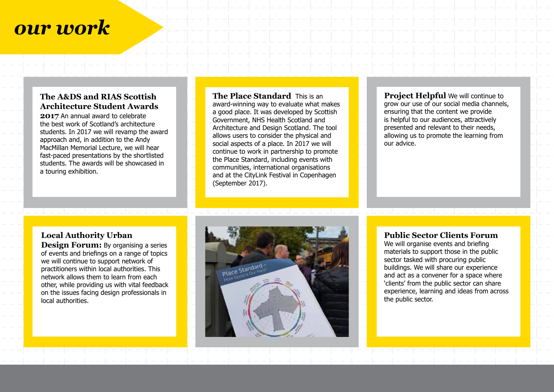# *our work*

### **The A&DS and RIAS Scottish Architecture Student Awards**

2017 An annual award to celebrate the best work of Scotland's architecture students. In 2017 we will revamp the award approach and, in addition to the Andy MacMillan Memorial Lecture, we will hear fast-paced presentations by the shortlisted students. The awards will be showcased in a touring exhibition.

**The Place Standard** This is an award-winning way to evaluate what makes a good place. It was developed by Scottish Government, NHS Health Scotland and Architecture and Design Scotland. The tool allows users to consider the physical and social aspects of a place. In 2017 we will continue to work in partnership to promote the Place Standard, including events with communities, international organisations and at the CityLink Festival in Copenhagen (September 2017).

**Project Helpful** We will continue to grow our use of our social media channels, ensuring that the content we provide is helpful to our audiences, attractively presented and relevant to their needs, allowing us to promote the learning from our advice.

### **Local Authority Urban**

**Design Forum:** By organising a series of events and briefings on a range of topics we will continue to support network of practitioners within local authorities. This network allows them to learn from each other, while providing us with vital feedback on the issues facing design professionals in local authorities.



#### **Public Sector Clients Forum**

We will organise events and briefing materials to support those in the public sector tasked with procuring public buildings. We will share our experience and act as a convener for a space where 'clients' from the public sector can share experience, learning and ideas from across the public sector.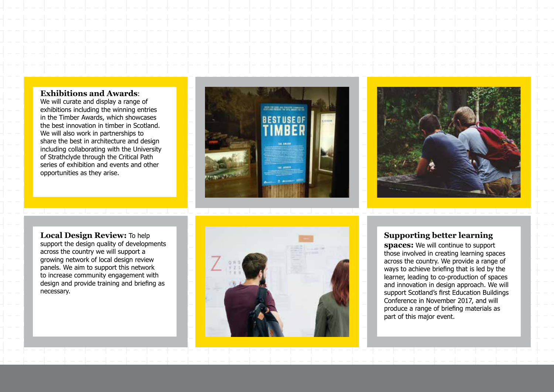#### **Exhibitions and Awards**:

We will curate and display a range of exhibitions including the winning entries in the Timber Awards, which showcases the best innovation in timber in Scotland. We will also work in partnerships to share the best in architecture and design including collaborating with the University of Strathclyde through the Critical Path series of exhibition and events and other opportunities as they arise.





**Local Design Review:** To help support the design quality of developments across the country we will support a growing network of local design review panels. We aim to support this network to increase community engagement with design and provide training and briefing as necessary.



#### **Supporting better learning**

**spaces:** We will continue to support those involved in creating learning spaces across the country. We provide a range of ways to achieve briefing that is led by the learner, leading to co-production of spaces and innovation in design approach. We will support Scotland's first Education Buildings Conference in November 2017, and will produce a range of briefing materials as part of this major event.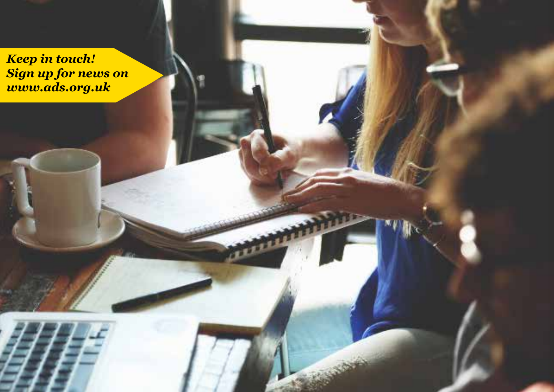*Keep in touch! Sign up for news on www.ads.org.uk*